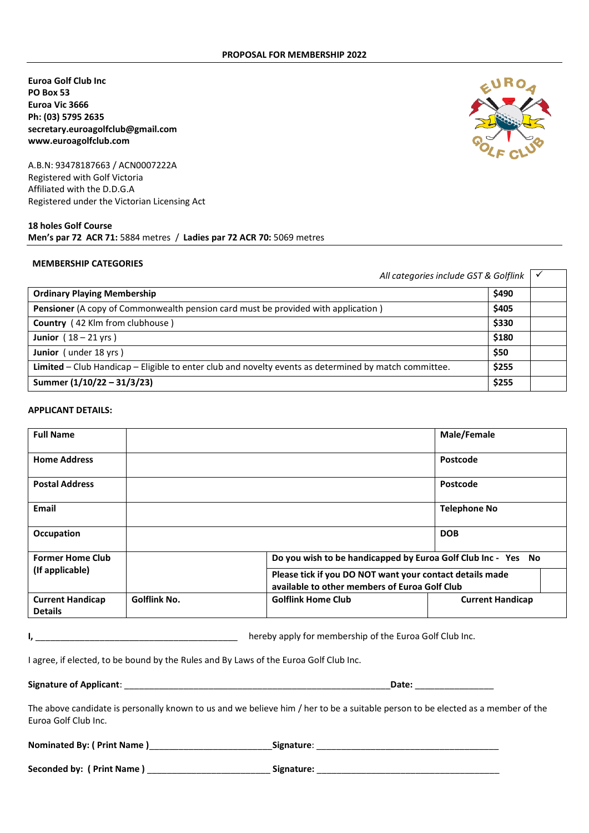**Euroa Golf Club Inc PO Box 53 Euroa Vic 3666 Ph: (03) 5795 2635 secretary.euroagolfclub@gmail.com www.euroagolfclub.com**

A.B.N: 93478187663 / ACN0007222A Registered with Golf Victoria Affiliated with the D.D.G.A Registered under the Victorian Licensing Act

# **18 holes Golf Course Men's par 72 ACR 71:** 5884 metres / **Ladies par 72 ACR 70:** 5069 metres

#### **MEMBERSHIP CATEGORIES**

| All categories include GST & Golflink $\vert \checkmark$                                              |       |  |
|-------------------------------------------------------------------------------------------------------|-------|--|
| <b>Ordinary Playing Membership</b>                                                                    | \$490 |  |
| <b>Pensioner</b> (A copy of Commonwealth pension card must be provided with application)              | \$405 |  |
| Country (42 Klm from clubhouse)                                                                       | \$330 |  |
| Junior $(18 - 21 \text{ yrs})$                                                                        | \$180 |  |
| Junior (under 18 yrs)                                                                                 | \$50  |  |
| Limited - Club Handicap - Eligible to enter club and novelty events as determined by match committee. | \$255 |  |
| Summer (1/10/22 - 31/3/23)                                                                            | \$255 |  |

#### **APPLICANT DETAILS:**

| <b>Full Name</b>                          |                     |                                                               | Male/Female                                                                                               |  |  |
|-------------------------------------------|---------------------|---------------------------------------------------------------|-----------------------------------------------------------------------------------------------------------|--|--|
| <b>Home Address</b>                       |                     |                                                               | Postcode                                                                                                  |  |  |
| <b>Postal Address</b>                     |                     |                                                               | Postcode                                                                                                  |  |  |
| Email                                     |                     |                                                               | <b>Telephone No</b>                                                                                       |  |  |
| Occupation                                |                     |                                                               | <b>DOB</b>                                                                                                |  |  |
| <b>Former Home Club</b>                   |                     | Do you wish to be handicapped by Euroa Golf Club Inc - Yes No |                                                                                                           |  |  |
| (If applicable)                           |                     |                                                               | Please tick if you DO NOT want your contact details made<br>available to other members of Euroa Golf Club |  |  |
| <b>Current Handicap</b><br><b>Details</b> | <b>Golflink No.</b> | <b>Golflink Home Club</b>                                     | <b>Current Handicap</b>                                                                                   |  |  |

**I,** \_\_\_\_\_\_\_\_\_\_\_\_\_\_\_\_\_\_\_\_\_\_\_\_\_\_\_\_\_\_\_\_\_\_\_\_\_\_\_\_\_ hereby apply for membership of the Euroa Golf Club Inc.

I agree, if elected, to be bound by the Rules and By Laws of the Euroa Golf Club Inc.

**Signature of Applicant**: \_\_\_\_\_\_\_\_\_\_\_\_\_\_\_\_\_\_\_\_\_\_\_\_\_\_\_\_\_\_\_\_\_\_\_\_\_\_\_\_\_\_\_\_\_\_\_\_\_\_\_\_\_\_**Date:** \_\_\_\_\_\_\_\_\_\_\_\_\_\_\_\_

The above candidate is personally known to us and we believe him / her to be a suitable person to be elected as a member of the Euroa Golf Club Inc.

**Nominated By: ( Print Name )**\_\_\_\_\_\_\_\_\_\_\_\_\_\_\_\_\_\_\_\_\_\_\_\_\_**Signature**: \_\_\_\_\_\_\_\_\_\_\_\_\_\_\_\_\_\_\_\_\_\_\_\_\_\_\_\_\_\_\_\_\_\_\_\_\_

**Seconded by: ( Print Name )** \_\_\_\_\_\_\_\_\_\_\_\_\_\_\_\_\_\_\_\_\_\_\_\_\_ **Signature:** \_\_\_\_\_\_\_\_\_\_\_\_\_\_\_\_\_\_\_\_\_\_\_\_\_\_\_\_\_\_\_\_\_\_\_\_\_